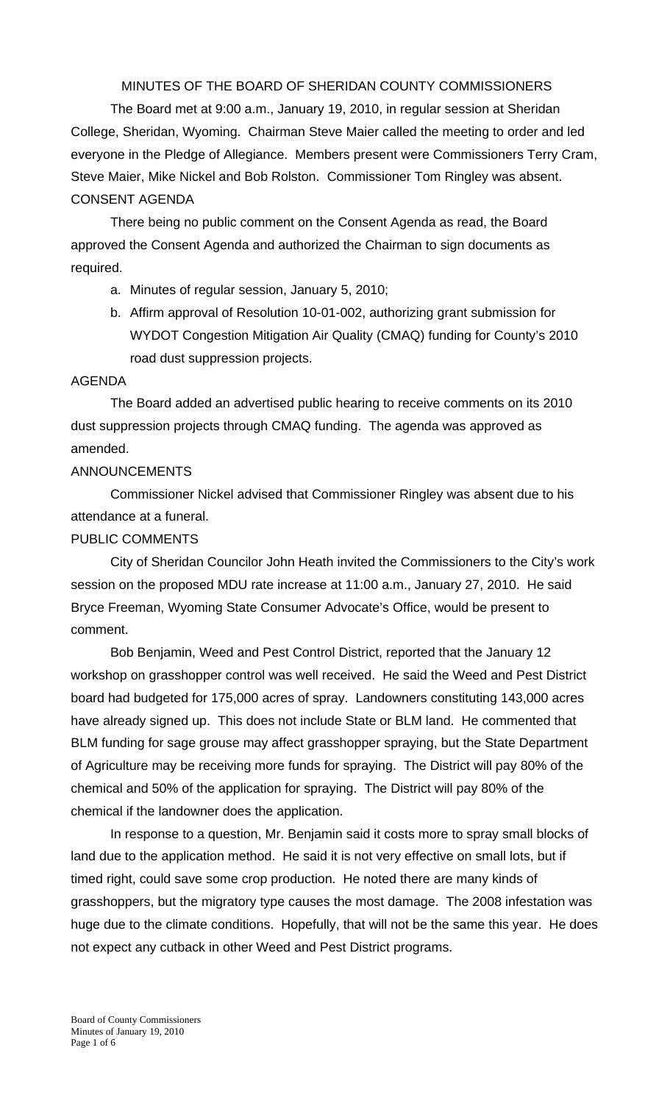MINUTES OF THE BOARD OF SHERIDAN COUNTY COMMISSIONERS

 The Board met at 9:00 a.m., January 19, 2010, in regular session at Sheridan College, Sheridan, Wyoming. Chairman Steve Maier called the meeting to order and led everyone in the Pledge of Allegiance. Members present were Commissioners Terry Cram, Steve Maier, Mike Nickel and Bob Rolston. Commissioner Tom Ringley was absent. CONSENT AGENDA

There being no public comment on the Consent Agenda as read, the Board approved the Consent Agenda and authorized the Chairman to sign documents as required.

- a. Minutes of regular session, January 5, 2010;
- b. Affirm approval of Resolution 10-01-002, authorizing grant submission for WYDOT Congestion Mitigation Air Quality (CMAQ) funding for County's 2010 road dust suppression projects.

### AGENDA

 The Board added an advertised public hearing to receive comments on its 2010 dust suppression projects through CMAQ funding. The agenda was approved as amended.

# ANNOUNCEMENTS

 Commissioner Nickel advised that Commissioner Ringley was absent due to his attendance at a funeral.

# PUBLIC COMMENTS

City of Sheridan Councilor John Heath invited the Commissioners to the City's work session on the proposed MDU rate increase at 11:00 a.m., January 27, 2010. He said Bryce Freeman, Wyoming State Consumer Advocate's Office, would be present to comment.

 Bob Benjamin, Weed and Pest Control District, reported that the January 12 workshop on grasshopper control was well received. He said the Weed and Pest District board had budgeted for 175,000 acres of spray. Landowners constituting 143,000 acres have already signed up. This does not include State or BLM land. He commented that BLM funding for sage grouse may affect grasshopper spraying, but the State Department of Agriculture may be receiving more funds for spraying. The District will pay 80% of the chemical and 50% of the application for spraying. The District will pay 80% of the chemical if the landowner does the application.

In response to a question, Mr. Benjamin said it costs more to spray small blocks of land due to the application method. He said it is not very effective on small lots, but if timed right, could save some crop production. He noted there are many kinds of grasshoppers, but the migratory type causes the most damage. The 2008 infestation was huge due to the climate conditions. Hopefully, that will not be the same this year. He does not expect any cutback in other Weed and Pest District programs.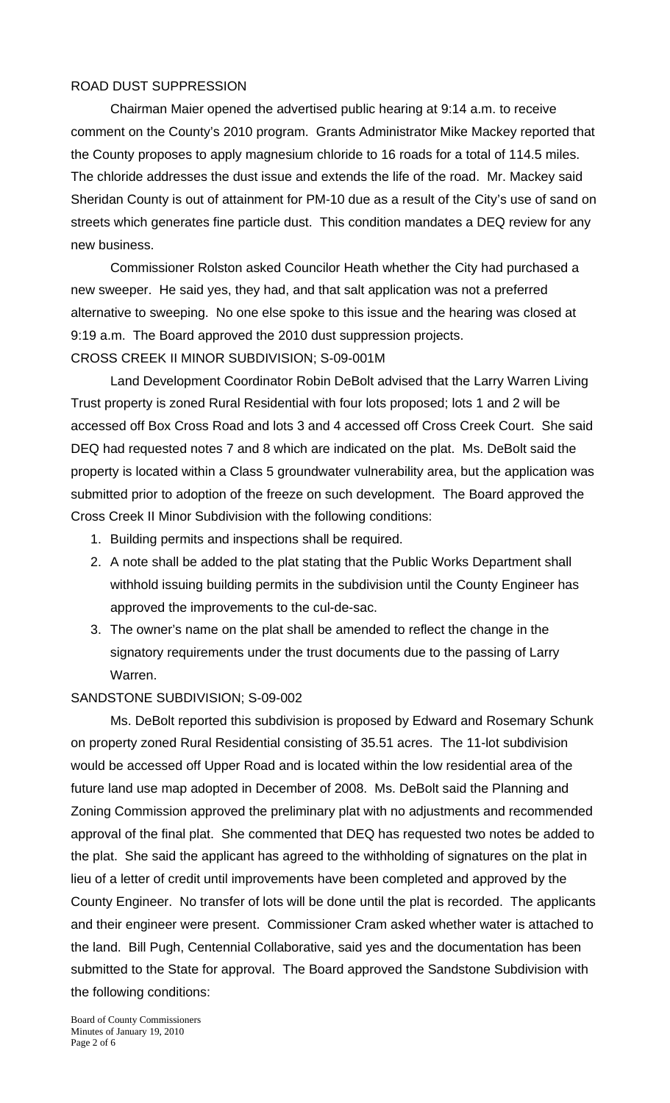### ROAD DUST SUPPRESSION

 Chairman Maier opened the advertised public hearing at 9:14 a.m. to receive comment on the County's 2010 program. Grants Administrator Mike Mackey reported that the County proposes to apply magnesium chloride to 16 roads for a total of 114.5 miles. The chloride addresses the dust issue and extends the life of the road. Mr. Mackey said Sheridan County is out of attainment for PM-10 due as a result of the City's use of sand on streets which generates fine particle dust. This condition mandates a DEQ review for any new business.

 Commissioner Rolston asked Councilor Heath whether the City had purchased a new sweeper. He said yes, they had, and that salt application was not a preferred alternative to sweeping. No one else spoke to this issue and the hearing was closed at 9:19 a.m. The Board approved the 2010 dust suppression projects. CROSS CREEK II MINOR SUBDIVISION; S-09-001M

 Land Development Coordinator Robin DeBolt advised that the Larry Warren Living Trust property is zoned Rural Residential with four lots proposed; lots 1 and 2 will be accessed off Box Cross Road and lots 3 and 4 accessed off Cross Creek Court. She said DEQ had requested notes 7 and 8 which are indicated on the plat. Ms. DeBolt said the property is located within a Class 5 groundwater vulnerability area, but the application was submitted prior to adoption of the freeze on such development. The Board approved the Cross Creek II Minor Subdivision with the following conditions:

- 1. Building permits and inspections shall be required.
- 2. A note shall be added to the plat stating that the Public Works Department shall withhold issuing building permits in the subdivision until the County Engineer has approved the improvements to the cul-de-sac.
- 3. The owner's name on the plat shall be amended to reflect the change in the signatory requirements under the trust documents due to the passing of Larry Warren.

#### SANDSTONE SUBDIVISION; S-09-002

 Ms. DeBolt reported this subdivision is proposed by Edward and Rosemary Schunk on property zoned Rural Residential consisting of 35.51 acres. The 11-lot subdivision would be accessed off Upper Road and is located within the low residential area of the future land use map adopted in December of 2008. Ms. DeBolt said the Planning and Zoning Commission approved the preliminary plat with no adjustments and recommended approval of the final plat. She commented that DEQ has requested two notes be added to the plat. She said the applicant has agreed to the withholding of signatures on the plat in lieu of a letter of credit until improvements have been completed and approved by the County Engineer. No transfer of lots will be done until the plat is recorded. The applicants and their engineer were present. Commissioner Cram asked whether water is attached to the land. Bill Pugh, Centennial Collaborative, said yes and the documentation has been submitted to the State for approval. The Board approved the Sandstone Subdivision with the following conditions: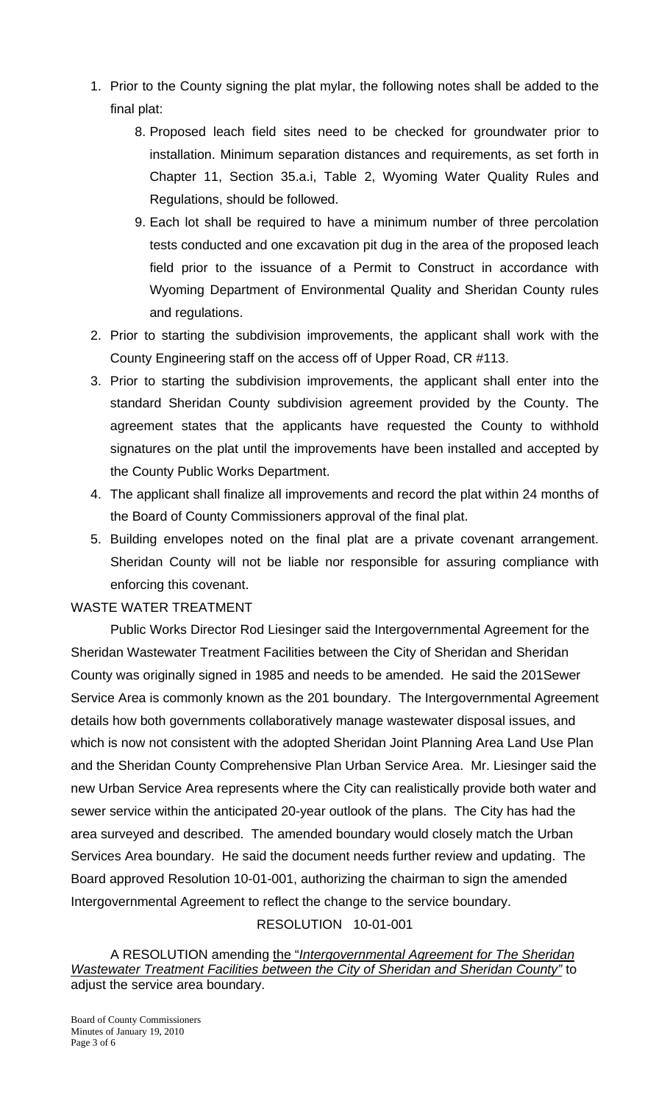- 1. Prior to the County signing the plat mylar, the following notes shall be added to the final plat:
	- 8. Proposed leach field sites need to be checked for groundwater prior to installation. Minimum separation distances and requirements, as set forth in Chapter 11, Section 35.a.i, Table 2, Wyoming Water Quality Rules and Regulations, should be followed.
	- 9. Each lot shall be required to have a minimum number of three percolation tests conducted and one excavation pit dug in the area of the proposed leach field prior to the issuance of a Permit to Construct in accordance with Wyoming Department of Environmental Quality and Sheridan County rules and regulations.
- 2. Prior to starting the subdivision improvements, the applicant shall work with the County Engineering staff on the access off of Upper Road, CR #113.
- 3. Prior to starting the subdivision improvements, the applicant shall enter into the standard Sheridan County subdivision agreement provided by the County. The agreement states that the applicants have requested the County to withhold signatures on the plat until the improvements have been installed and accepted by the County Public Works Department.
- 4. The applicant shall finalize all improvements and record the plat within 24 months of the Board of County Commissioners approval of the final plat.
- 5. Building envelopes noted on the final plat are a private covenant arrangement. Sheridan County will not be liable nor responsible for assuring compliance with enforcing this covenant.

# WASTE WATER TREATMENT

 Public Works Director Rod Liesinger said the Intergovernmental Agreement for the Sheridan Wastewater Treatment Facilities between the City of Sheridan and Sheridan County was originally signed in 1985 and needs to be amended. He said the 201Sewer Service Area is commonly known as the 201 boundary. The Intergovernmental Agreement details how both governments collaboratively manage wastewater disposal issues, and which is now not consistent with the adopted Sheridan Joint Planning Area Land Use Plan and the Sheridan County Comprehensive Plan Urban Service Area. Mr. Liesinger said the new Urban Service Area represents where the City can realistically provide both water and sewer service within the anticipated 20-year outlook of the plans. The City has had the area surveyed and described. The amended boundary would closely match the Urban Services Area boundary. He said the document needs further review and updating. The Board approved Resolution 10-01-001, authorizing the chairman to sign the amended Intergovernmental Agreement to reflect the change to the service boundary.

### RESOLUTION 10-01-001

A RESOLUTION amending the "*Intergovernmental Agreement for The Sheridan Wastewater Treatment Facilities between the City of Sheridan and Sheridan County"* to adjust the service area boundary.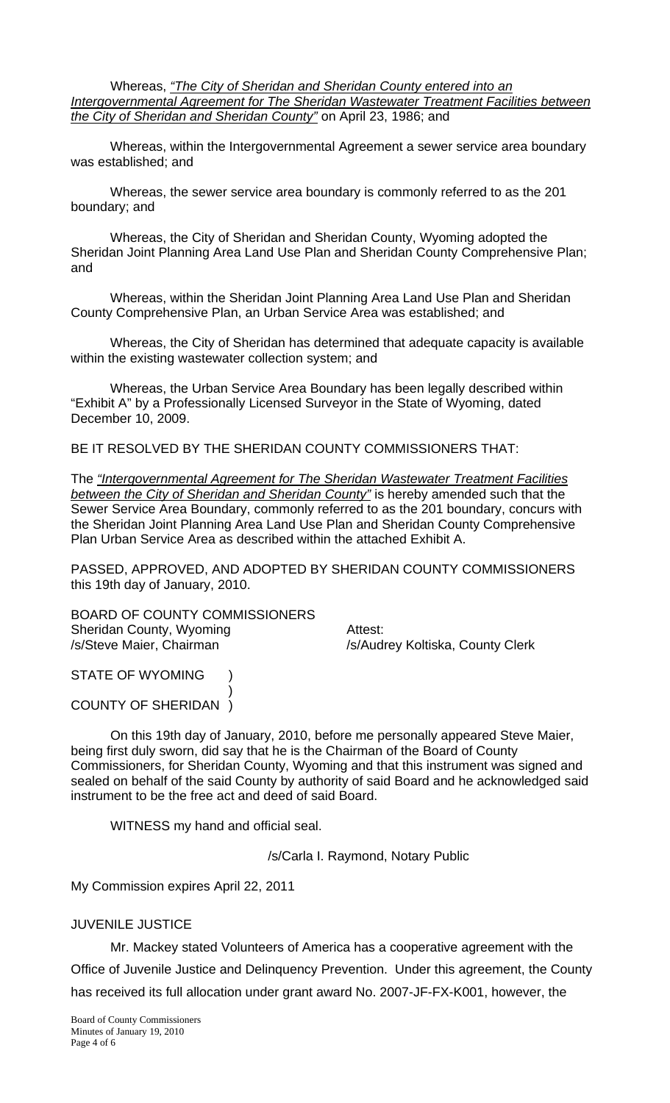Whereas, *"The City of Sheridan and Sheridan County entered into an Intergovernmental Agreement for The Sheridan Wastewater Treatment Facilities between the City of Sheridan and Sheridan County"* on April 23, 1986; and

Whereas, within the Intergovernmental Agreement a sewer service area boundary was established; and

Whereas, the sewer service area boundary is commonly referred to as the 201 boundary; and

Whereas, the City of Sheridan and Sheridan County, Wyoming adopted the Sheridan Joint Planning Area Land Use Plan and Sheridan County Comprehensive Plan; and

Whereas, within the Sheridan Joint Planning Area Land Use Plan and Sheridan County Comprehensive Plan, an Urban Service Area was established; and

Whereas, the City of Sheridan has determined that adequate capacity is available within the existing wastewater collection system; and

Whereas, the Urban Service Area Boundary has been legally described within "Exhibit A" by a Professionally Licensed Surveyor in the State of Wyoming, dated December 10, 2009.

BE IT RESOLVED BY THE SHERIDAN COUNTY COMMISSIONERS THAT:

The *"Intergovernmental Agreement for The Sheridan Wastewater Treatment Facilities between the City of Sheridan and Sheridan County"* is hereby amended such that the Sewer Service Area Boundary, commonly referred to as the 201 boundary, concurs with the Sheridan Joint Planning Area Land Use Plan and Sheridan County Comprehensive Plan Urban Service Area as described within the attached Exhibit A.

PASSED, APPROVED, AND ADOPTED BY SHERIDAN COUNTY COMMISSIONERS this 19th day of January, 2010.

BOARD OF COUNTY COMMISSIONERS Sheridan County, Wyoming **Attest:** /s/Steve Maier, Chairman /s/Audrey Koltiska, County Clerk

STATE OF WYOMING )  $\overline{\phantom{a}}$ 

COUNTY OF SHERIDAN )

 On this 19th day of January, 2010, before me personally appeared Steve Maier, being first duly sworn, did say that he is the Chairman of the Board of County Commissioners, for Sheridan County, Wyoming and that this instrument was signed and sealed on behalf of the said County by authority of said Board and he acknowledged said instrument to be the free act and deed of said Board.

WITNESS my hand and official seal.

/s/Carla I. Raymond, Notary Public

My Commission expires April 22, 2011

### JUVENILE JUSTICE

 Mr. Mackey stated Volunteers of America has a cooperative agreement with the Office of Juvenile Justice and Delinquency Prevention. Under this agreement, the County has received its full allocation under grant award No. 2007-JF-FX-K001, however, the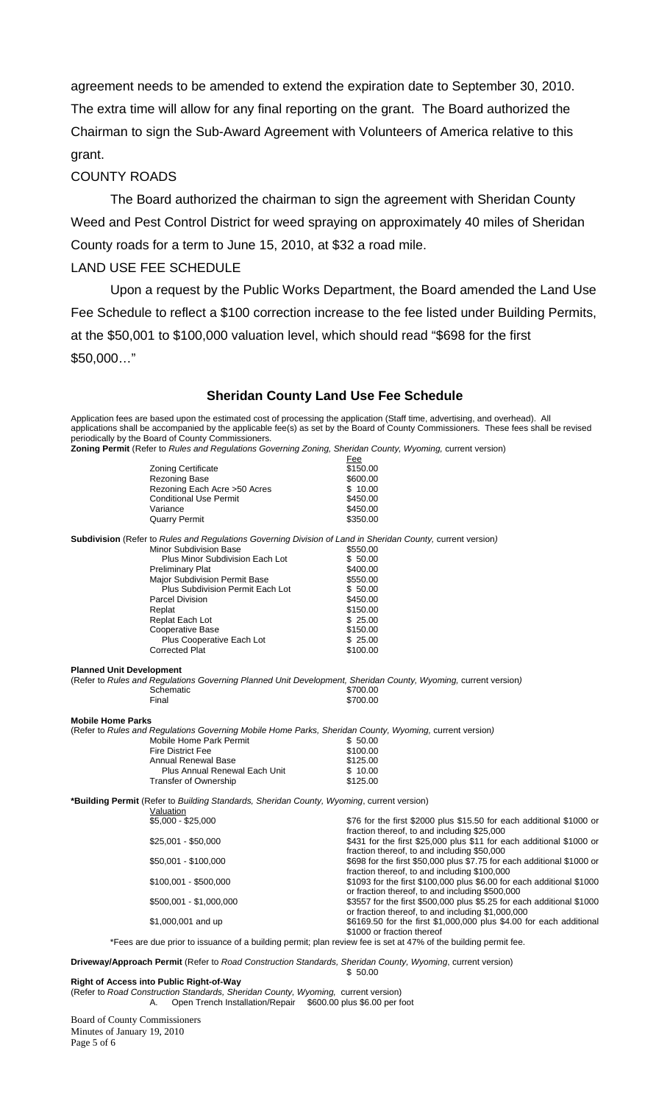agreement needs to be amended to extend the expiration date to September 30, 2010. The extra time will allow for any final reporting on the grant. The Board authorized the Chairman to sign the Sub-Award Agreement with Volunteers of America relative to this grant.

#### COUNTY ROADS

 The Board authorized the chairman to sign the agreement with Sheridan County Weed and Pest Control District for weed spraying on approximately 40 miles of Sheridan County roads for a term to June 15, 2010, at \$32 a road mile.

#### LAND USE FEE SCHEDULE

 Upon a request by the Public Works Department, the Board amended the Land Use Fee Schedule to reflect a \$100 correction increase to the fee listed under Building Permits, at the \$50,001 to \$100,000 valuation level, which should read "\$698 for the first \$50,000…"

#### **Sheridan County Land Use Fee Schedule**

Application fees are based upon the estimated cost of processing the application (Staff time, advertising, and overhead). All applications shall be accompanied by the applicable fee(s) as set by the Board of County Commissioners. These fees shall be revised periodically by the Board of County Commissioners.

**Zoning Permit** (Refer to *Rules and Regulations Governing Zoning, Sheridan County, Wyoming,* current version)

| <b>Driveway/Approach Permit</b> (Refer to Road Construction Standards, Sheridan County, Wyoming, current version) |                                                                                                                                    |                                                                                                                                                        |  |  |
|-------------------------------------------------------------------------------------------------------------------|------------------------------------------------------------------------------------------------------------------------------------|--------------------------------------------------------------------------------------------------------------------------------------------------------|--|--|
|                                                                                                                   | *Fees are due prior to issuance of a building permit; plan review fee is set at 47% of the building permit fee.                    |                                                                                                                                                        |  |  |
|                                                                                                                   | \$1,000,001 and up                                                                                                                 | or fraction thereof, to and including \$1,000,000<br>\$6169.50 for the first \$1,000,000 plus \$4.00 for each additional<br>\$1000 or fraction thereof |  |  |
|                                                                                                                   | \$500,001 - \$1,000,000                                                                                                            | or fraction thereof, to and including \$500,000<br>\$3557 for the first \$500,000 plus \$5.25 for each additional \$1000                               |  |  |
|                                                                                                                   | \$100,001 - \$500,000                                                                                                              | fraction thereof, to and including \$100,000<br>\$1093 for the first \$100,000 plus \$6.00 for each additional \$1000                                  |  |  |
|                                                                                                                   | \$50,001 - \$100,000                                                                                                               | fraction thereof, to and including \$50,000<br>\$698 for the first \$50,000 plus \$7.75 for each additional \$1000 or                                  |  |  |
|                                                                                                                   | $$25,001 - $50,000$                                                                                                                | fraction thereof, to and including \$25,000<br>\$431 for the first \$25,000 plus \$11 for each additional \$1000 or                                    |  |  |
|                                                                                                                   | *Building Permit (Refer to Building Standards, Sheridan County, Wyoming, current version)<br>Valuation<br>$$5,000 - $25,000$       | \$76 for the first \$2000 plus \$15.50 for each additional \$1000 or                                                                                   |  |  |
|                                                                                                                   | <b>Transfer of Ownership</b>                                                                                                       | \$125.00                                                                                                                                               |  |  |
|                                                                                                                   | Plus Annual Renewal Each Unit                                                                                                      | \$10.00                                                                                                                                                |  |  |
|                                                                                                                   | <b>Annual Renewal Base</b>                                                                                                         | \$125.00                                                                                                                                               |  |  |
|                                                                                                                   | <b>Fire District Fee</b>                                                                                                           | \$100.00                                                                                                                                               |  |  |
| <b>Mobile Home Parks</b>                                                                                          | (Refer to Rules and Regulations Governing Mobile Home Parks, Sheridan County, Wyoming, current version)<br>Mobile Home Park Permit | \$50.00                                                                                                                                                |  |  |
|                                                                                                                   | Final                                                                                                                              | \$700.00                                                                                                                                               |  |  |
| <b>Planned Unit Development</b>                                                                                   | (Refer to Rules and Regulations Governing Planned Unit Development, Sheridan County, Wyoming, current version)<br>Schematic        | \$700.00                                                                                                                                               |  |  |
|                                                                                                                   |                                                                                                                                    |                                                                                                                                                        |  |  |
|                                                                                                                   | <b>Corrected Plat</b>                                                                                                              | \$100.00                                                                                                                                               |  |  |
|                                                                                                                   | Cooperative Base<br>Plus Cooperative Each Lot                                                                                      | \$150.00<br>\$25.00                                                                                                                                    |  |  |
|                                                                                                                   | Replat Each Lot                                                                                                                    | \$25.00                                                                                                                                                |  |  |
|                                                                                                                   | Replat                                                                                                                             | \$150.00                                                                                                                                               |  |  |
|                                                                                                                   | <b>Parcel Division</b>                                                                                                             | \$450.00                                                                                                                                               |  |  |
|                                                                                                                   | Plus Subdivision Permit Each Lot                                                                                                   | \$50.00                                                                                                                                                |  |  |
|                                                                                                                   | <b>Major Subdivision Permit Base</b>                                                                                               | \$550.00                                                                                                                                               |  |  |
|                                                                                                                   | <b>Preliminary Plat</b>                                                                                                            | \$400.00                                                                                                                                               |  |  |
|                                                                                                                   | Plus Minor Subdivision Each Lot                                                                                                    | \$50.00                                                                                                                                                |  |  |
|                                                                                                                   | <b>Minor Subdivision Base</b>                                                                                                      | \$550.00                                                                                                                                               |  |  |
|                                                                                                                   | <b>Subdivision</b> (Refer to Rules and Regulations Governing Division of Land in Sheridan County, current version)                 |                                                                                                                                                        |  |  |
|                                                                                                                   | <b>Quarry Permit</b>                                                                                                               | \$350.00                                                                                                                                               |  |  |
|                                                                                                                   | Variance                                                                                                                           | \$450.00                                                                                                                                               |  |  |
|                                                                                                                   | <b>Conditional Use Permit</b>                                                                                                      | \$450.00                                                                                                                                               |  |  |
|                                                                                                                   | Rezoning Each Acre > 50 Acres                                                                                                      | \$10.00                                                                                                                                                |  |  |
|                                                                                                                   | Rezoning Base                                                                                                                      | \$600.00                                                                                                                                               |  |  |
|                                                                                                                   | <b>Zoning Certificate</b>                                                                                                          | \$150.00                                                                                                                                               |  |  |
|                                                                                                                   |                                                                                                                                    | <u>Fee</u>                                                                                                                                             |  |  |

#### $$50.00$ **Right of Access into Public Right-of-Way**

(Refer to *Road Construction Standards, Sheridan County, Wyoming,* current version) A. Open Trench Installation/Repair \$600.00 plus \$6.00 per foot

Board of County Commissioners Minutes of January 19, 2010 Page 5 of 6